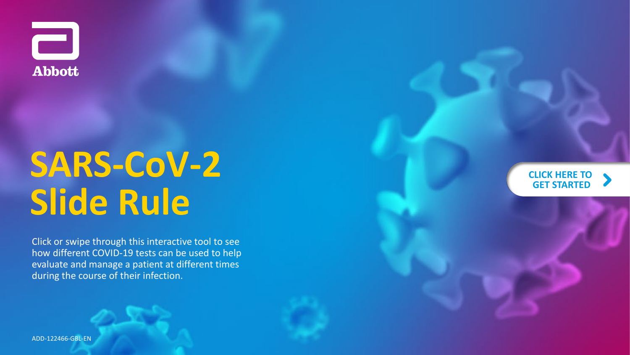

# **SARS -CoV - 2 Slide Rule**

Click or swipe through this interactive tool to see how different COVID -19 tests can be used to help evaluate and manage a patient at different times during the course of their infection.



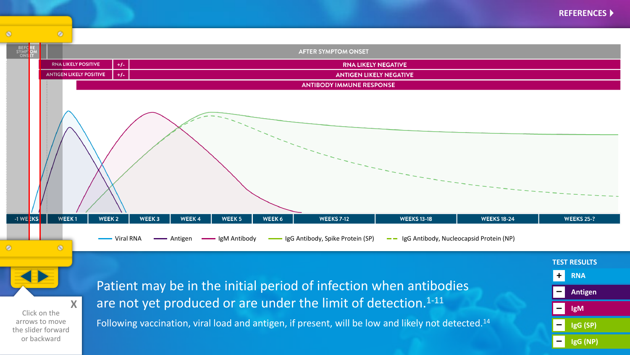<span id="page-1-0"></span>

**X** Click on the arrows to move the slider forward or backward

#### Patient may be in the initial period of infection when antibodies are not yet produced or are under the limit of detection.<sup>1-11</sup>

Following vaccination, viral load and antigen, if present, will be low and likely not detected.14

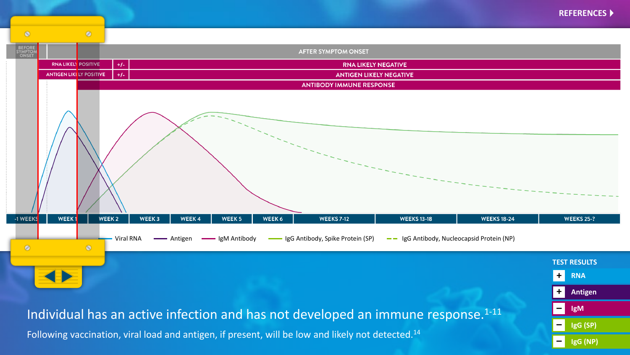

**Antigen**

**IgG (SP)** 

**IgG (NP)** 

**IgM**

**+**

**–**

**–**

**–**



## Individual has an active infection and has not developed an immune response.<sup>1-11</sup>

Following vaccination, viral load and antigen, if present, will be low and likely not detected.<sup>14</sup>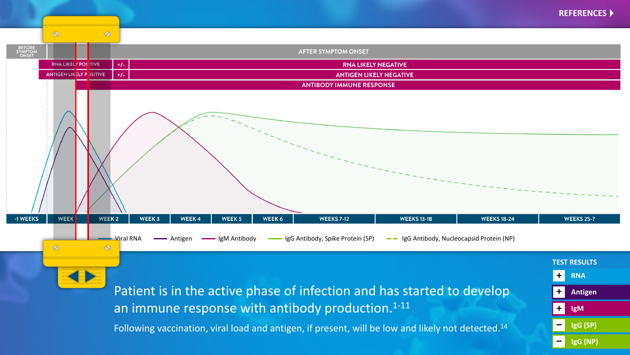

Patient is in the active phase of infection and has started to develop an immune response with antibody production.<sup>1-11</sup>

Following vaccination, viral load and antigen, if present, will be low and likely not detected.<sup>14</sup>

**RNA Antigen IgM IgG (SP) IgG (NP) TEST RESULTS + + + – –**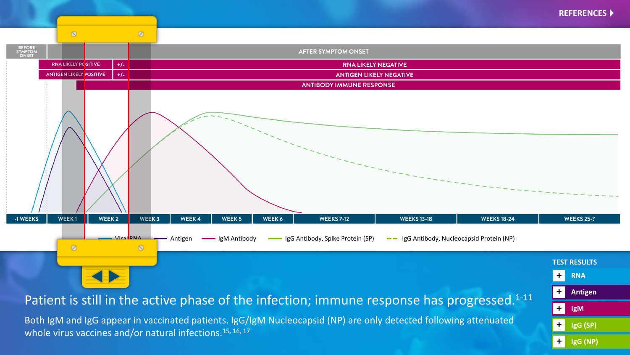![](_page_4_Figure_0.jpeg)

**IgM**

**+**

**+**

**+**

**IgG (SP)** 

**IgG (NP)** 

Patient is still in the active phase of the infection; immune response has progressed.<sup>1-11</sup>

Both IgM and IgG appear in vaccinated patients. IgG/IgM Nucleocapsid (NP) are only detected following attenuated whole virus vaccines and/or natural infections.<sup>15, 16, 17</sup>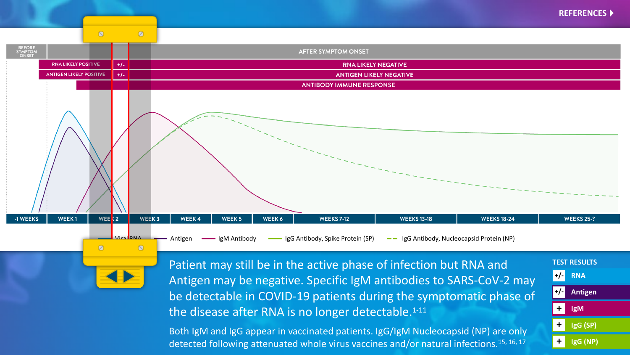![](_page_5_Figure_0.jpeg)

**RNA** 

**+/-**

**+/-**

**+**

**+**

**+**

**TEST RESULTS** 

**IgM**

**Antigen**

**IgG (SP)** 

**IgG (NP)** 

![](_page_5_Figure_1.jpeg)

Patient may still be in the active phase of infection but RNA and Antigen may be negative. Specific IgM antibodies to SARS-CoV-2 may be detectable in COVID-19 patients during the symptomatic phase of the disease after RNA is no longer detectable. $1-11$ 

Both IgM and IgG appear in vaccinated patients. IgG/IgM Nucleocapsid (NP) are only detected following attenuated whole virus vaccines and/or natural infections.<sup>15, 16, 17</sup>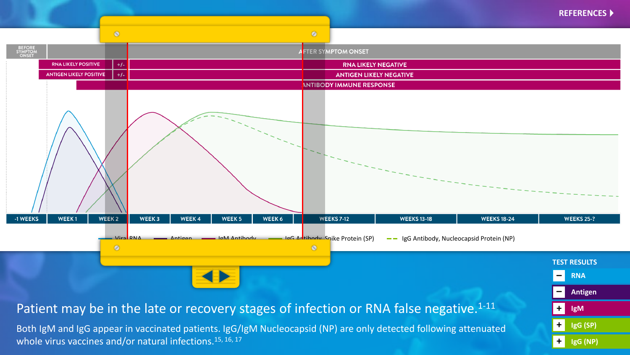![](_page_6_Figure_0.jpeg)

Both IgM and IgG appear in vaccinated patients. IgG/IgM Nucleocapsid (NP) are only detected following attenuated whole virus vaccines and/or natural infections.<sup>15, 16, 17</sup>

**IgG (SP) IgG (NP) +**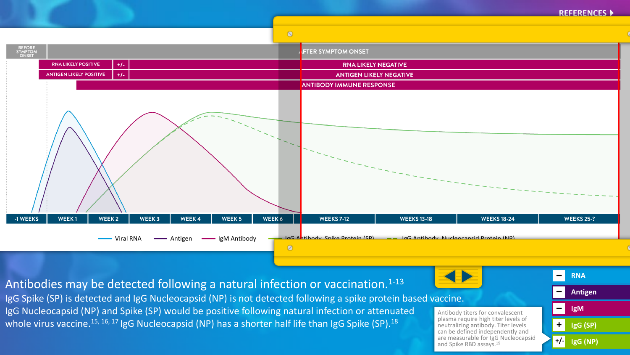![](_page_7_Figure_0.jpeg)

![](_page_7_Figure_1.jpeg)

**RNA Antigen IgM IgG (SP) IgG (NP) – – – +** Antibodies may be detected following a natural infection or vaccination.<sup>1-13</sup> IgG Spike (SP) is detected and IgG Nucleocapsid (NP) is not detected following a spike protein based vaccine. IgG Nucleocapsid (NP) and Spike (SP) would be positive following natural infection or attenuated whole virus vaccine.<sup>15, 16, 17</sup> IgG Nucleocapsid (NP) has a shorter half life than IgG Spike (SP).<sup>18</sup> Antibody titers for convalescent plasma require high titer levels of neutralizing antibody. Titer levels can be defined independently and are measurable for IgG Nucleocapsid and Spike RBD assays.<sup>19</sup>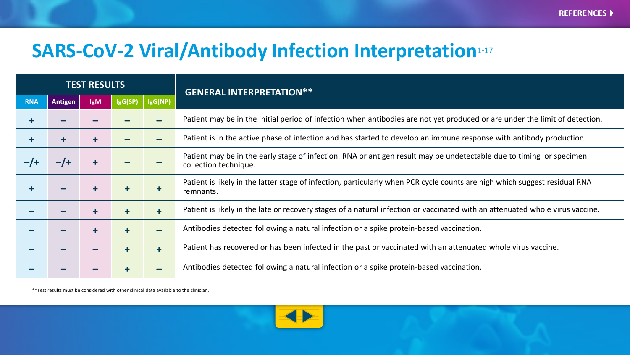# **SARS-CoV-2 Viral/Antibody Infection Interpretation**1-17

| <b>TEST RESULTS</b> |                |            |            |                      | <b>GENERAL INTERPRETATION**</b>                                                                                                              |
|---------------------|----------------|------------|------------|----------------------|----------------------------------------------------------------------------------------------------------------------------------------------|
| <b>RNA</b>          | <b>Antigen</b> | <b>IgM</b> | IgG(SP)    | IgG(NP)              |                                                                                                                                              |
| ÷.                  |                |            |            |                      | Patient may be in the initial period of infection when antibodies are not yet produced or are under the limit of detection.                  |
| $\ddagger$          |                |            |            |                      | Patient is in the active phase of infection and has started to develop an immune response with antibody production.                          |
| $-1$                | $-1$           |            |            |                      | Patient may be in the early stage of infection. RNA or antigen result may be undetectable due to timing or specimen<br>collection technique. |
| ÷.                  |                |            |            | $\ddot{\phantom{1}}$ | Patient is likely in the latter stage of infection, particularly when PCR cycle counts are high which suggest residual RNA<br>remnants.      |
|                     |                |            | $\ddot{+}$ | $\ddagger$           | Patient is likely in the late or recovery stages of a natural infection or vaccinated with an attenuated whole virus vaccine.                |
|                     |                |            | ╋          |                      | Antibodies detected following a natural infection or a spike protein-based vaccination.                                                      |
|                     |                |            |            | $\ddot{\phantom{1}}$ | Patient has recovered or has been infected in the past or vaccinated with an attenuated whole virus vaccine.                                 |
|                     |                |            |            |                      | Antibodies detected following a natural infection or a spike protein-based vaccination.                                                      |

\*\*Test results must be considered with other clinical data available to the clinician.

![](_page_8_Picture_4.jpeg)